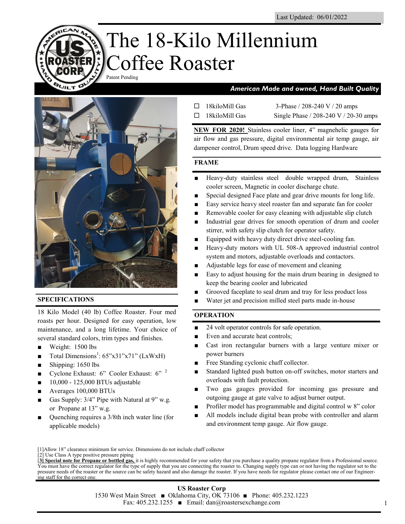# The 18-Kilo Millennium Coffee Roaster Patent Pending



## **SPECIFICATIONS**

18 Kilo Model (40 lb) Coffee Roaster. Four med roasts per hour. Designed for easy operation, low maintenance, and a long lifetime. Your choice of several standard colors, trim types and finishes.

- Weight: 1500 lbs
- $\blacksquare$  Total Dimensions<sup>1</sup>: 65"x31"x71" (LxWxH)
- Shipping: 1650 lbs
- Cyclone Exhaust: 6" Cooler Exhaust: 6" 2
- 10,000 125,000 BTUs adjustable
- Averages 100,000 BTUs
- Gas Supply:  $3/4$ " Pipe with Natural at 9" w.g. or Propane at 13" w.g.
- Quenching requires a 3/8th inch water line (for applicable models)

# *American Made and owned, Hand Built Quality*

| $\Box$ 18kiloMill Gas | 3-Phase / 208-240 V / 20 amps         |
|-----------------------|---------------------------------------|
| $\Box$ 18kiloMill Gas | Single Phase / 208-240 V / 20-30 amps |

**NEW FOR 2020!** Stainless cooler liner, 4" magnehelic gauges for air flow and gas pressure, digital environmental air temp gauge, air dampener control, Drum speed drive. Data logging Hardware

### **FRAME**

- Heavy-duty stainless steel double wrapped drum, Stainless cooler screen, Magnetic in cooler discharge chute.
- Special designed Face plate and gear drive mounts for long life.
- Easy service heavy steel roaster fan and separate fan for cooler
- Removable cooler for easy cleaning with adjustable slip clutch
- Industrial gear drives for smooth operation of drum and cooler stirrer, with safety slip clutch for operator safety.
- Equipped with heavy duty direct drive steel-cooling fan.
- Heavy-duty motors with UL 508-A approved industrial control system and motors, adjustable overloads and contactors.
- Adjustable legs for ease of movement and cleaning
- Easy to adjust housing for the main drum bearing in designed to keep the bearing cooler and lubricated
- Grooved faceplate to seal drum and tray for less product loss
- Water jet and precision milled steel parts made in-house

# **OPERATION**

- 24 volt operator controls for safe operation.
- Even and accurate heat controls;
- Cast iron rectangular burners with a large venture mixer or power burners
- Free Standing cyclonic chaff collector.
- Standard lighted push button on-off switches, motor starters and overloads with fault protection.
- Two gas gauges provided for incoming gas pressure and outgoing gauge at gate valve to adjust burner output.
- Profiler model has programmable and digital control w 8" color
- All models include digital bean probe with controller and alarm and environment temp gauge. Air flow gauge.

<sup>[1]</sup>Allow 18" clearance minimum for service. Dimensions do not include chaff collector

<sup>[2]</sup> Use Class A type positive pressure piping

<sup>[</sup>**3] Special note for Propane or bottled gas,** it is highly recommended for your safety that you purchase a quality propane regulator from a Professional source. You must have the correct regulator for the type of supply that you are connecting the roaster to. Changing supply type can or not having the regulator set to the pressure needs of the roaster or the source can be safety hazard and also damage the roaster. If you have needs for regulator please contact one of our Engineering staff for the correct one.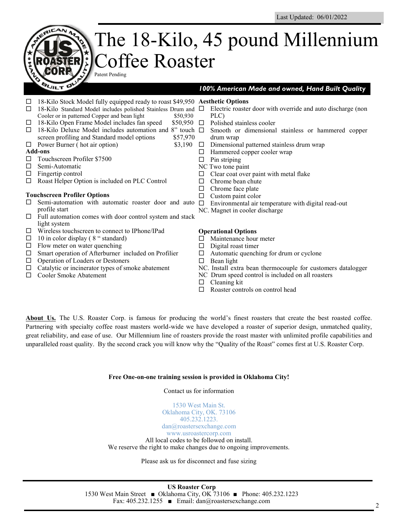#### The 18-Kilo, 45 pound Millennium Coffee Roaster Patent Pending **QUILT D** *100% American Made and owned, Hand Built Quality*  18-Kilo Stock Model fully equipped ready to roast \$49,950 **Aesthetic Options**  $\Box$  18-Kilo Standard Model includes polished Stainless Drum and  $\Box$  Electric roaster door with override and auto discharge (non Cooler or in patterned Copper and bean light \$50,930 PLC)  $\Box$  18-Kilo Open Frame Model includes fan speed \$50,950  $\Box$  Polished stainless cooler  $\Box$  18-Kilo Deluxe Model includes automation and 8" touch  $\Box$  Smooth or dimensional stainless or hammered copper screen profiling and Standard model options \$57,970 drum wrap  $\Box$  Power Burner (hot air option) \$3,190  $\Box$  Dimensional patterned stainless drum wrap **Add-ons** □ Hammered copper cooler wrap □ Touchscreen Profiler \$7500  $\Box$  Pin striping  $\Box$  Semi-Automatic NC Two tone paint  $\Box$  Fingertip control  $\Box$  Clear coat over paint with metal flake □ Roast Helper Option is included on PLC Control  $\Box$  Chrome bean chute  $\Box$  Chrome face plate **Touchscreen Profiler Options**  $\Box$  Custom paint color  $\Box$  Semi-automation with automatic roaster door and auto  $\Box$  Environmental air temperature with digital read-out profile start NC. Magnet in cooler discharge  $\Box$  Full automation comes with door control system and stack light system Wireless touchscreen to connect to IPhone/IPad **Operational Options**  $\Box$  10 in color display (8 " standard)  $\Box$  Maintenance hour meter  $\Box$  Flow meter on water quenching  $\Box$  Digital roast timer  $\square$  Smart operation of Afterburner included on Profilier  $\Box$  Automatic quenching for drum or cyclone

- $\Box$  Operation of Loaders or Destoners
- $\Box$  Catalytic or incinerator types of smoke abatement
- □ Cooler Smoke Abatement

- $\Box$  Bean light
- NC. Install extra bean thermocouple for customers datalogger
- NC Drum speed control is included on all roasters
- $\Box$  Cleaning kit
- $\Box$  Roaster controls on control head

About Us. The U.S. Roaster Corp. is famous for producing the world's finest roasters that create the best roasted coffee. Partnering with specialty coffee roast masters world-wide we have developed a roaster of superior design, unmatched quality, great reliability, and ease of use. Our Millennium line of roasters provide the roast master with unlimited profile capabilities and unparalleled roast quality. By the second crack you will know why the "Quality of the Roast" comes first at U.S. Roaster Corp.

### **Free One-on-one training session is provided in Oklahoma City!**

Contact us for information

1530 West Main St. Oklahoma City, OK. 73106 405.232.1223. dan@roastersexchange.com www.usroastercorp.com All local codes to be followed on install. We reserve the right to make changes due to ongoing improvements.

Please ask us for disconnect and fuse sizing